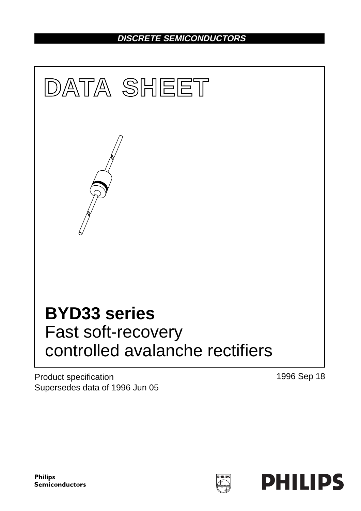# **DISCRETE SEMICONDUCTORS**



Product specification Supersedes data of 1996 Jun 05 1996 Sep 18

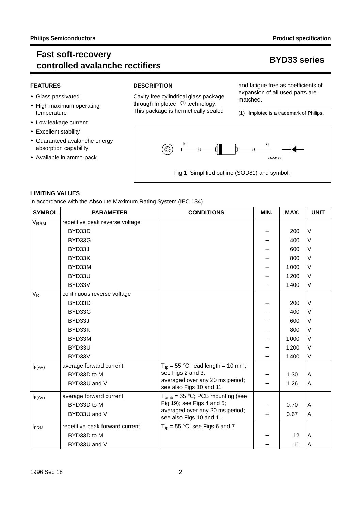## **Fast soft-recovery** rest son recovery<br> **controlled avalanche rectifiers BYD33** series

### **FEATURES**

- Glass passivated
- High maximum operating temperature
- Low leakage current
- Excellent stability
- Guaranteed avalanche energy absorption capability
- Available in ammo-pack.

### **DESCRIPTION**

Cavity free cylindrical glass package through Implotec<sup> $TM(1)$ </sup> technology. This package is hermetically sealed and fatigue free as coefficients of expansion of all used parts are matched.

(1) Implotec is a trademark of Philips.



### **LIMITING VALUES**

In accordance with the Absolute Maximum Rating System (IEC 134).

| <b>SYMBOL</b>    | <b>PARAMETER</b>                | <b>CONDITIONS</b>                                          | MIN. | MAX. | <b>UNIT</b> |
|------------------|---------------------------------|------------------------------------------------------------|------|------|-------------|
| $V_{RRM}$        | repetitive peak reverse voltage |                                                            |      |      |             |
|                  | BYD33D                          |                                                            |      | 200  | $\vee$      |
|                  | BYD33G                          |                                                            |      | 400  | V           |
|                  | BYD33J                          |                                                            |      | 600  | V           |
|                  | BYD33K                          |                                                            |      | 800  | $\vee$      |
|                  | BYD33M                          |                                                            |      | 1000 | V           |
|                  | BYD33U                          |                                                            |      | 1200 | V           |
|                  | BYD33V                          |                                                            |      | 1400 | V           |
| $V_R$            | continuous reverse voltage      |                                                            |      |      |             |
|                  | BYD33D                          |                                                            |      | 200  | $\vee$      |
|                  | BYD33G                          |                                                            |      | 400  | V           |
|                  | BYD33J                          |                                                            |      | 600  | V           |
|                  | BYD33K                          |                                                            |      | 800  | V           |
|                  | BYD33M                          |                                                            |      | 1000 | V           |
|                  | BYD33U                          |                                                            |      | 1200 | V           |
|                  | BYD33V                          |                                                            |      | 1400 | $\vee$      |
| $I_{F(AV)}$      | average forward current         | $T_{\text{to}}$ = 55 °C; lead length = 10 mm;              |      |      |             |
|                  | BYD33D to M                     | see Figs 2 and 3;                                          |      | 1.30 | Α           |
|                  | BYD33U and V                    | averaged over any 20 ms period;<br>see also Figs 10 and 11 |      | 1.26 | A           |
| $I_{F(AV)}$      | average forward current         | $T_{amb}$ = 65 °C; PCB mounting (see                       |      |      |             |
|                  | BYD33D to M                     | Fig. 19); see Figs 4 and 5;                                |      | 0.70 | A           |
|                  | BYD33U and V                    | averaged over any 20 ms period;<br>see also Figs 10 and 11 |      | 0.67 | A           |
| $I_{\text{FRM}}$ | repetitive peak forward current | $T_{\text{to}}$ = 55 °C; see Figs 6 and 7                  |      |      |             |
|                  | BYD33D to M                     |                                                            |      | 12   | Α           |
|                  | BYD33U and V                    |                                                            |      | 11   | A           |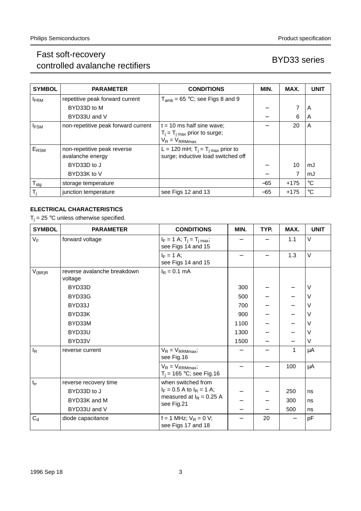# Fast soft-recovery rast soft-recovery<br>controlled avalanche rectifiers BYD33 series

| <b>SYMBOL</b>    | <b>PARAMETER</b>                                | <b>CONDITIONS</b>                                                                    | MIN.  | MAX.   | <b>UNIT</b> |
|------------------|-------------------------------------------------|--------------------------------------------------------------------------------------|-------|--------|-------------|
| <b>FRM</b>       | repetitive peak forward current                 | $T_{amb}$ = 65 °C; see Figs 8 and 9                                                  |       |        |             |
|                  | BYD33D to M                                     |                                                                                      |       | 7      | A           |
|                  | BYD33U and V                                    |                                                                                      |       | 6      | A           |
| <b>IFSM</b>      | non-repetitive peak forward current             | $t = 10$ ms half sine wave;                                                          |       | 20     | A           |
|                  |                                                 | $T_i = T_i_{max}$ prior to surge;<br>$V_R = V_{RRMmax}$                              |       |        |             |
| E <sub>RSM</sub> | non-repetitive peak reverse<br>avalanche energy | L = 120 mH; $T_i = T_{i \text{ max}}$ prior to<br>surge; inductive load switched off |       |        |             |
|                  | BYD33D to J                                     |                                                                                      |       | 10     | mJ          |
|                  | BYD33K to V                                     |                                                                                      |       | 7      | mJ          |
| $T_{\text{stg}}$ | storage temperature                             |                                                                                      | $-65$ | $+175$ | $^{\circ}C$ |
| T,               | junction temperature                            | see Figs 12 and 13                                                                   | $-65$ | $+175$ | $^{\circ}C$ |

### **ELECTRICAL CHARACTERISTICS**

 $T_j = 25$  °C unless otherwise specified.

| <b>SYMBOL</b> | <b>PARAMETER</b>                       | <b>CONDITIONS</b>                                      | MIN. | TYP. | MAX. | <b>UNIT</b> |
|---------------|----------------------------------------|--------------------------------------------------------|------|------|------|-------------|
| $V_F$         | forward voltage                        | $I_F = 1$ A; $T_i = T_{i max}$ ;<br>see Figs 14 and 15 |      |      | 1.1  | V           |
|               |                                        | $I_F = 1$ A;<br>see Figs 14 and 15                     |      |      | 1.3  | $\vee$      |
| $V_{(BR)R}$   | reverse avalanche breakdown<br>voltage | $I_R = 0.1$ mA                                         |      |      |      |             |
|               | BYD33D                                 |                                                        | 300  |      |      | $\vee$      |
|               | BYD33G                                 |                                                        | 500  |      |      | $\vee$      |
|               | BYD33J                                 |                                                        | 700  |      |      | V           |
|               | BYD33K                                 |                                                        | 900  |      |      | V           |
|               | BYD33M                                 |                                                        | 1100 |      |      | V           |
|               | BYD33U                                 |                                                        | 1300 |      |      | V           |
|               | BYD33V                                 |                                                        | 1500 |      |      | V           |
| $I_R$         | reverse current                        | $V_R = V_{RRMmax}$<br>see Fig.16                       |      |      | 1    | μA          |
|               |                                        | $V_R = V_{RRMmax}$<br>$T_i = 165 °C$ ; see Fig.16      |      |      | 100  | μA          |
| $t_{rr}$      | reverse recovery time                  | when switched from                                     |      |      |      |             |
|               | BYD33D to J                            | $I_F = 0.5$ A to $I_R = 1$ A;                          |      |      | 250  | ns          |
|               | BYD33K and M                           | measured at $I_R = 0.25 A$<br>see Fig.21               |      |      | 300  | ns          |
|               | BYD33U and V                           |                                                        |      |      | 500  | ns          |
| $C_d$         | diode capacitance                      | $f = 1$ MHz; $V_R = 0$ V;<br>see Figs 17 and 18        |      | 20   |      | pF          |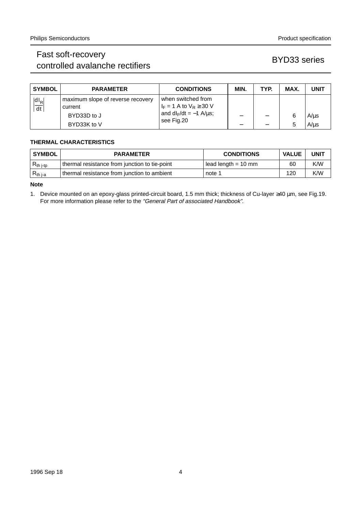# Fast soft-recovery rast soft-recovery<br>controlled avalanche rectifiers by the series BYD33 series

| <b>SYMBOL</b>                  | <b>PARAMETER</b>                                                           | <b>CONDITIONS</b>                                                                                    | MIN. | TYP. | MAX.   | <b>UNIT</b>            |
|--------------------------------|----------------------------------------------------------------------------|------------------------------------------------------------------------------------------------------|------|------|--------|------------------------|
| $\left \frac{dI_R}{dt}\right $ | maximum slope of reverse recovery<br>current<br>BYD33D to J<br>BYD33K to V | when switched from<br>$I_F = 1$ A to $V_R \geq 30$ V<br>and $dI_F/dt = -1$ A/ $\mu$ s;<br>see Fig.20 | –    |      | 6<br>5 | $A/\mu s$<br>$A/\mu s$ |

### **THERMAL CHARACTERISTICS**

| SYMBOL         | <b>PARAMETER</b>                                | <b>CONDITIONS</b>     | <b>VALUE</b> | <b>UNIT</b> |
|----------------|-------------------------------------------------|-----------------------|--------------|-------------|
| $R_{th\ j-tp}$ | I thermal resistance from junction to tie-point | $lead length = 10$ mm | 60           | K/W         |
| $R_{th\,j-a}$  | thermal resistance from junction to ambient     | note 1                | 120          | K/W         |

**Note**

1. Device mounted on an epoxy-glass printed-circuit board, 1.5 mm thick; thickness of Cu-layer ≥40 µm, see Fig.19. For more information please refer to the "General Part of associated Handbook".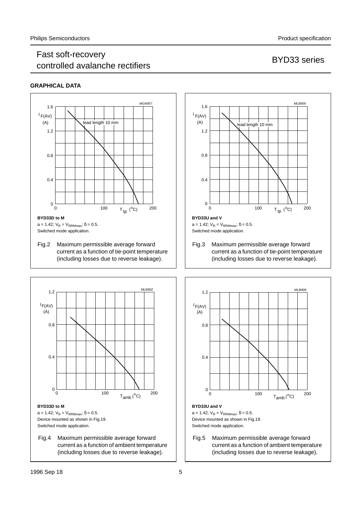## Fast soft-recovery controlled avalanche rectifiers and the controlled avalanche rectifiers and the series of the BYD33 series

### **GRAPHICAL DATA**







current as a function of tie-point temperature (including losses due to reverse leakage).



Fig.5 Maximum permissible average forward current as a function of ambient temperature (including losses due to reverse leakage).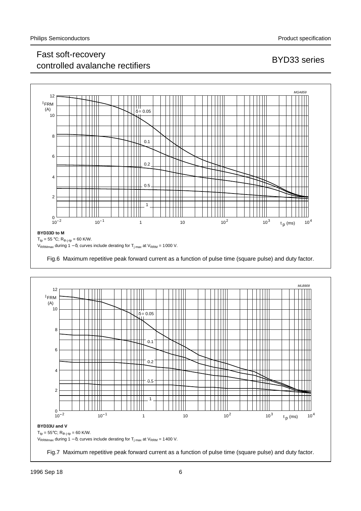# Fast soft-recovery controlled avalanche rectifiers and the controlled avalanche rectifiers by the series and BYD33 series



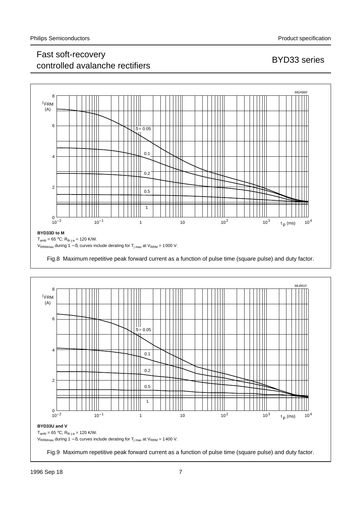# Fast soft-recovery r ast son recovery<br>controlled avalanche rectifiers and the series BYD33 series





Fig.9 Maximum repetitive peak forward current as a function of pulse time (square pulse) and duty factor.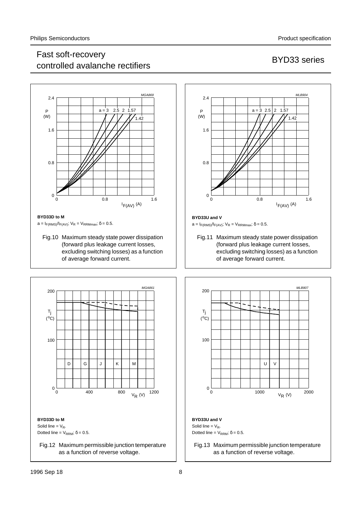# Fast soft-recovery r ast son recovery<br>controlled avalanche rectifiers and the series BYD33 series



### **BYD33D to M**

 $a=I_{F(RMS)}/I_{F(AV)}$ ;  $V_R = V_{RRMmax}$ ;  $\delta = 0.5$ .

Fig.10 Maximum steady state power dissipation (forward plus leakage current losses, excluding switching losses) as a function of average forward current.





### **BYD33U and V**

 $a=I_{F(RMS)}/I_{F(AV)}$ ;  $V_R = V_{RRMmax}$ ;  $\delta = 0.5$ .

Fig.11 Maximum steady state power dissipation (forward plus leakage current losses, excluding switching losses) as a function of average forward current.



as a function of reverse voltage.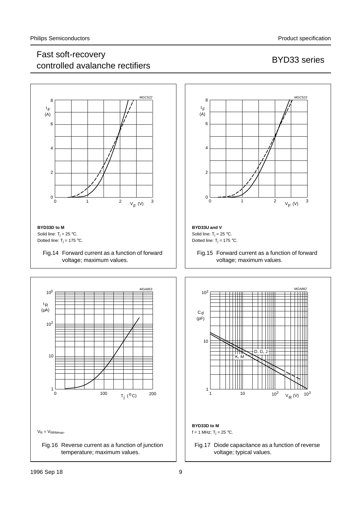## Fast soft-recovery r ast son recovery<br>controlled avalanche rectifiers and the series BYD33 series

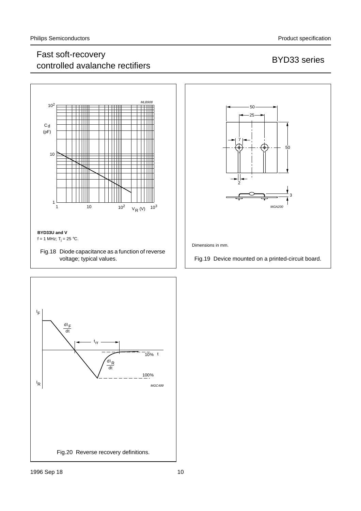# Fast soft-recovery rast soft-recovery<br>controlled avalanche rectifiers by the series BYD33 series





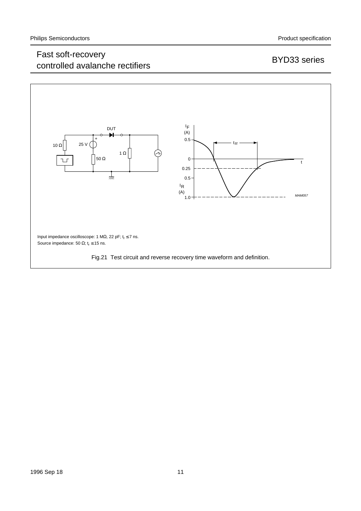# Fast soft-recovery rast soft-recovery<br>controlled avalanche rectifiers BYD33 series